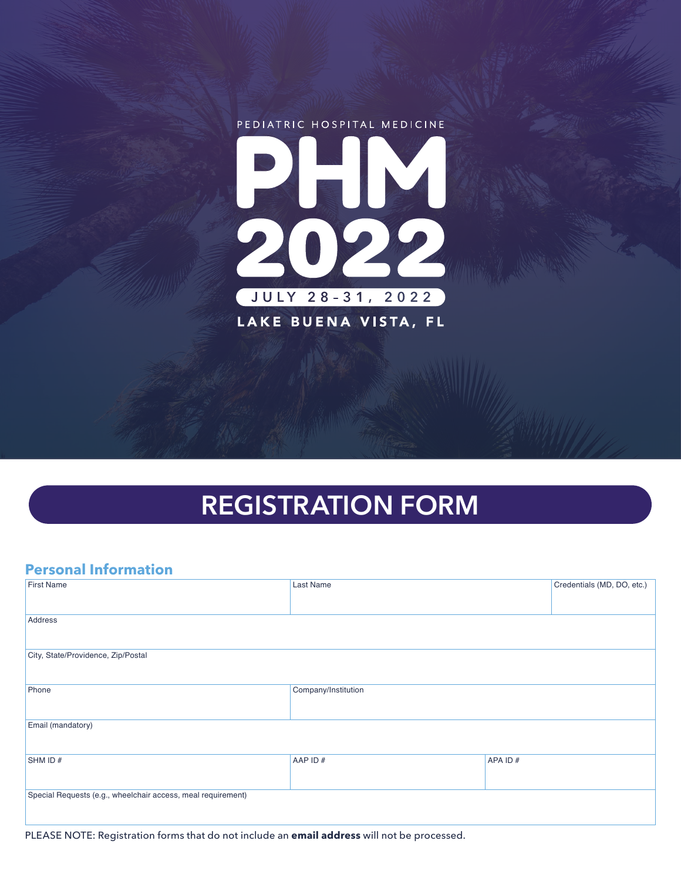

# **REGISTRATION FORM**

## **Personal Information**

| <b>First Name</b>                                            | Last Name           |         | Credentials (MD, DO, etc.) |  |  |  |
|--------------------------------------------------------------|---------------------|---------|----------------------------|--|--|--|
|                                                              |                     |         |                            |  |  |  |
| Address                                                      |                     |         |                            |  |  |  |
|                                                              |                     |         |                            |  |  |  |
| City, State/Providence, Zip/Postal                           |                     |         |                            |  |  |  |
|                                                              |                     |         |                            |  |  |  |
| Phone                                                        | Company/Institution |         |                            |  |  |  |
|                                                              |                     |         |                            |  |  |  |
| Email (mandatory)                                            |                     |         |                            |  |  |  |
|                                                              |                     |         |                            |  |  |  |
| SHM ID#                                                      | AAP ID#             | APA ID# |                            |  |  |  |
|                                                              |                     |         |                            |  |  |  |
| Special Requests (e.g., wheelchair access, meal requirement) |                     |         |                            |  |  |  |
|                                                              |                     |         |                            |  |  |  |

PLEASE NOTE: Registration forms that do not include an **email address** will not be processed.